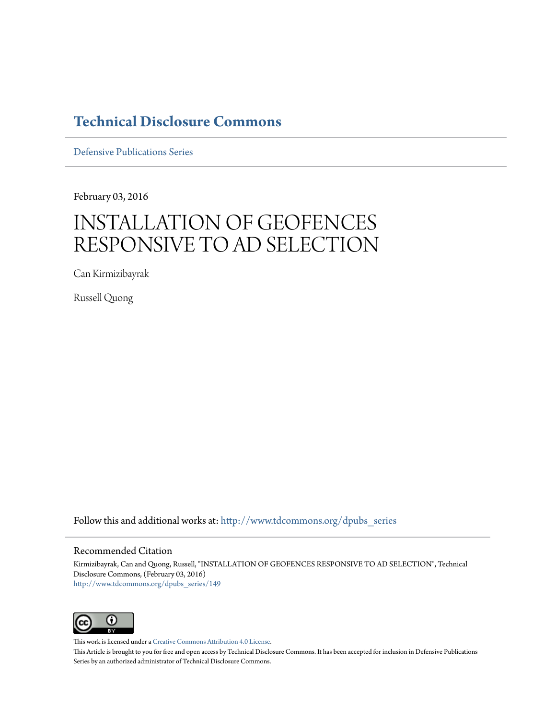## **[Technical Disclosure Commons](http://www.tdcommons.org?utm_source=www.tdcommons.org%2Fdpubs_series%2F149&utm_medium=PDF&utm_campaign=PDFCoverPages)**

[Defensive Publications Series](http://www.tdcommons.org/dpubs_series?utm_source=www.tdcommons.org%2Fdpubs_series%2F149&utm_medium=PDF&utm_campaign=PDFCoverPages)

February 03, 2016

## INSTALLATION OF GEOFENCES RESPONSIVE TO AD SELECTION

Can Kirmizibayrak

Russell Quong

Follow this and additional works at: [http://www.tdcommons.org/dpubs\\_series](http://www.tdcommons.org/dpubs_series?utm_source=www.tdcommons.org%2Fdpubs_series%2F149&utm_medium=PDF&utm_campaign=PDFCoverPages)

## Recommended Citation

Kirmizibayrak, Can and Quong, Russell, "INSTALLATION OF GEOFENCES RESPONSIVE TO AD SELECTION", Technical Disclosure Commons, (February 03, 2016) [http://www.tdcommons.org/dpubs\\_series/149](http://www.tdcommons.org/dpubs_series/149?utm_source=www.tdcommons.org%2Fdpubs_series%2F149&utm_medium=PDF&utm_campaign=PDFCoverPages)



This work is licensed under a [Creative Commons Attribution 4.0 License.](http://creativecommons.org/licenses/by/4.0/deed.en_US)

This Article is brought to you for free and open access by Technical Disclosure Commons. It has been accepted for inclusion in Defensive Publications Series by an authorized administrator of Technical Disclosure Commons.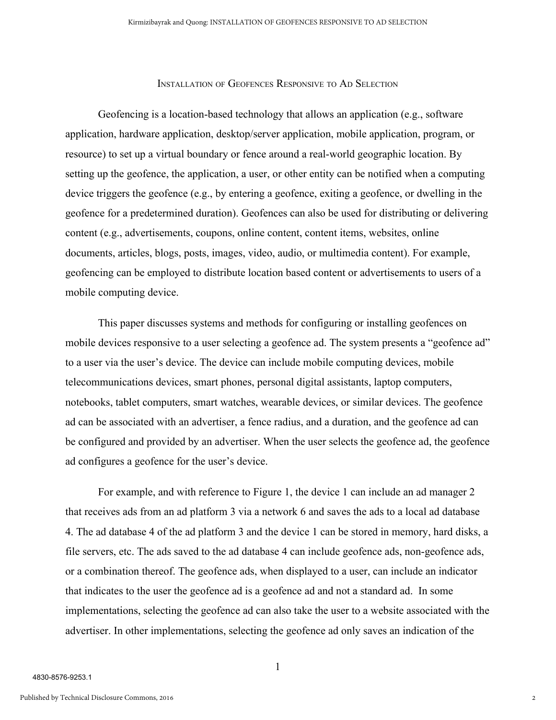## INSTALLATION OF GEOFENCES RESPONSIVE TO AD SELECTION

Geofencing is a location-based technology that allows an application (e.g., software application, hardware application, desktop/server application, mobile application, program, or resource) to set up a virtual boundary or fence around a real-world geographic location. By setting up the geofence, the application, a user, or other entity can be notified when a computing device triggers the geofence (e.g., by entering a geofence, exiting a geofence, or dwelling in the geofence for a predetermined duration). Geofences can also be used for distributing or delivering content (e.g., advertisements, coupons, online content, content items, websites, online documents, articles, blogs, posts, images, video, audio, or multimedia content). For example, geofencing can be employed to distribute location based content or advertisements to users of a mobile computing device.

This paper discusses systems and methods for configuring or installing geofences on mobile devices responsive to a user selecting a geofence ad. The system presents a "geofence ad" to a user via the user's device. The device can include mobile computing devices, mobile telecommunications devices, smart phones, personal digital assistants, laptop computers, notebooks, tablet computers, smart watches, wearable devices, or similar devices. The geofence ad can be associated with an advertiser, a fence radius, and a duration, and the geofence ad can be configured and provided by an advertiser. When the user selects the geofence ad, the geofence ad configures a geofence for the user's device.

For example, and with reference to Figure 1, the device 1 can include an ad manager 2 that receives ads from an ad platform 3 via a network 6 and saves the ads to a local ad database 4. The ad database 4 of the ad platform 3 and the device 1 can be stored in memory, hard disks, a file servers, etc. The ads saved to the ad database 4 can include geofence ads, non-geofence ads, or a combination thereof. The geofence ads, when displayed to a user, can include an indicator that indicates to the user the geofence ad is a geofence ad and not a standard ad. In some implementations, selecting the geofence ad can also take the user to a website associated with the advertiser. In other implementations, selecting the geofence ad only saves an indication of the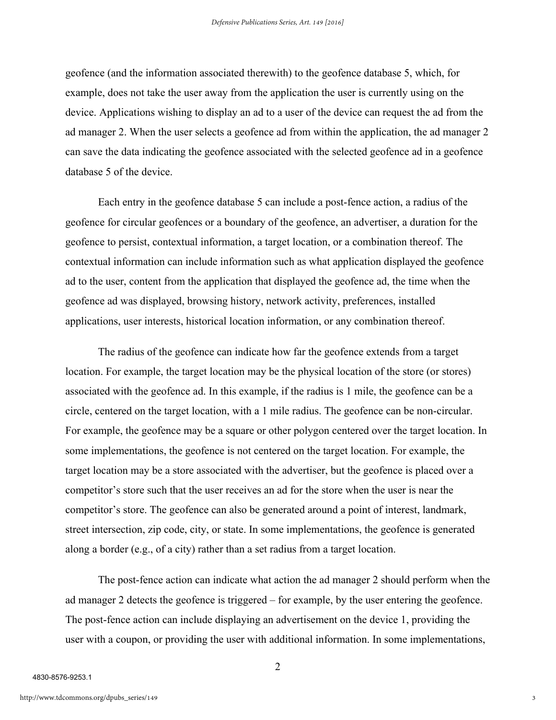geofence (and the information associated therewith) to the geofence database 5, which, for example, does not take the user away from the application the user is currently using on the device. Applications wishing to display an ad to a user of the device can request the ad from the ad manager 2. When the user selects a geofence ad from within the application, the ad manager 2 can save the data indicating the geofence associated with the selected geofence ad in a geofence database 5 of the device.

Each entry in the geofence database 5 can include a post-fence action, a radius of the geofence for circular geofences or a boundary of the geofence, an advertiser, a duration for the geofence to persist, contextual information, a target location, or a combination thereof. The contextual information can include information such as what application displayed the geofence ad to the user, content from the application that displayed the geofence ad, the time when the geofence ad was displayed, browsing history, network activity, preferences, installed applications, user interests, historical location information, or any combination thereof.

The radius of the geofence can indicate how far the geofence extends from a target location. For example, the target location may be the physical location of the store (or stores) associated with the geofence ad. In this example, if the radius is 1 mile, the geofence can be a circle, centered on the target location, with a 1 mile radius. The geofence can be noncircular. For example, the geofence may be a square or other polygon centered over the target location. In some implementations, the geofence is not centered on the target location. For example, the target location may be a store associated with the advertiser, but the geofence is placed over a competitor's store such that the user receives an ad for the store when the user is near the competitor's store. The geofence can also be generated around a point of interest, landmark, street intersection, zip code, city, or state. In some implementations, the geofence is generated along a border (e.g., of a city) rather than a set radius from a target location.

The post-fence action can indicate what action the ad manager 2 should perform when the ad manager 2 detects the geofence is triggered – for example, by the user entering the geofence. The post-fence action can include displaying an advertisement on the device 1, providing the user with a coupon, or providing the user with additional information. In some implementations,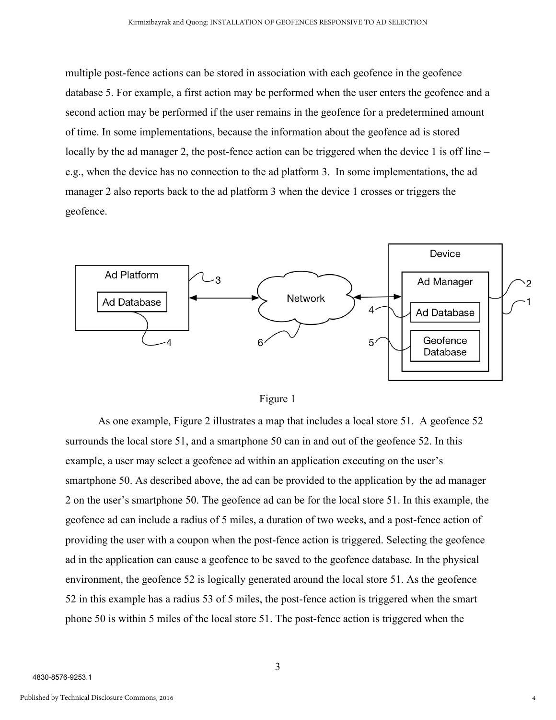multiple post-fence actions can be stored in association with each geofence in the geofence database 5. For example, a first action may be performed when the user enters the geofence and a second action may be performed if the user remains in the geofence for a predetermined amount of time. In some implementations, because the information about the geofence ad is stored locally by the ad manager 2, the post-fence action can be triggered when the device 1 is off line – e.g., when the device has no connection to the ad platform 3. In some implementations, the ad manager 2 also reports back to the ad platform 3 when the device 1 crosses or triggers the geofence.





As one example, Figure 2 illustrates a map that includes a local store 51. A geofence 52 surrounds the local store 51, and a smartphone 50 can in and out of the geofence 52. In this example, a user may select a geofence ad within an application executing on the user's smartphone 50. As described above, the ad can be provided to the application by the ad manager 2 on the user's smartphone 50. The geofence ad can be for the local store 51. In this example, the geofence ad can include a radius of 5 miles, a duration of two weeks, and a post-fence action of providing the user with a coupon when the post-fence action is triggered. Selecting the geofence ad in the application can cause a geofence to be saved to the geofence database. In the physical environment, the geofence 52 is logically generated around the local store 51. As the geofence 52 in this example has a radius 53 of 5 miles, the post-fence action is triggered when the smart phone 50 is within 5 miles of the local store 51. The post-fence action is triggered when the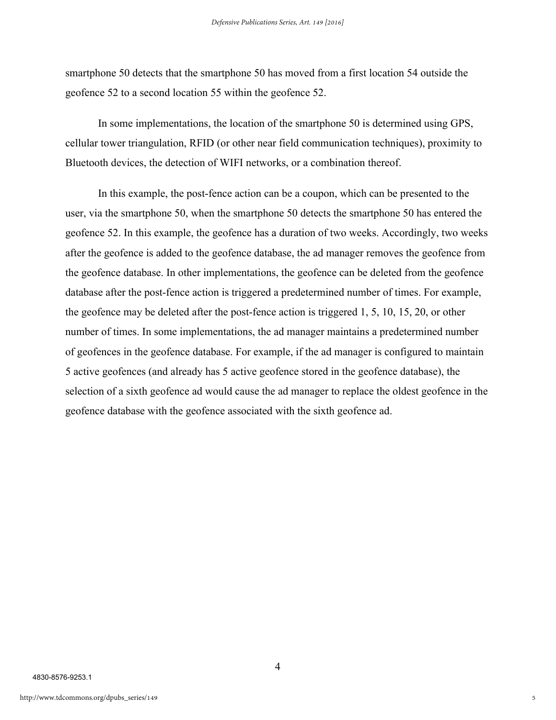smartphone 50 detects that the smartphone 50 has moved from a first location 54 outside the geofence 52 to a second location 55 within the geofence 52.

In some implementations, the location of the smartphone 50 is determined using GPS, cellular tower triangulation, RFID (or other near field communication techniques), proximity to Bluetooth devices, the detection of WIFI networks, or a combination thereof.

In this example, the post-fence action can be a coupon, which can be presented to the user, via the smartphone 50, when the smartphone 50 detects the smartphone 50 has entered the geofence 52. In this example, the geofence has a duration of two weeks. Accordingly, two weeks after the geofence is added to the geofence database, the ad manager removes the geofence from the geofence database. In other implementations, the geofence can be deleted from the geofence database after the post-fence action is triggered a predetermined number of times. For example, the geofence may be deleted after the post-fence action is triggered  $1, 5, 10, 15, 20$ , or other number of times. In some implementations, the ad manager maintains a predetermined number of geofences in the geofence database. For example, if the ad manager is configured to maintain 5 active geofences (and already has 5 active geofence stored in the geofence database), the selection of a sixth geofence ad would cause the ad manager to replace the oldest geofence in the geofence database with the geofence associated with the sixth geofence ad.